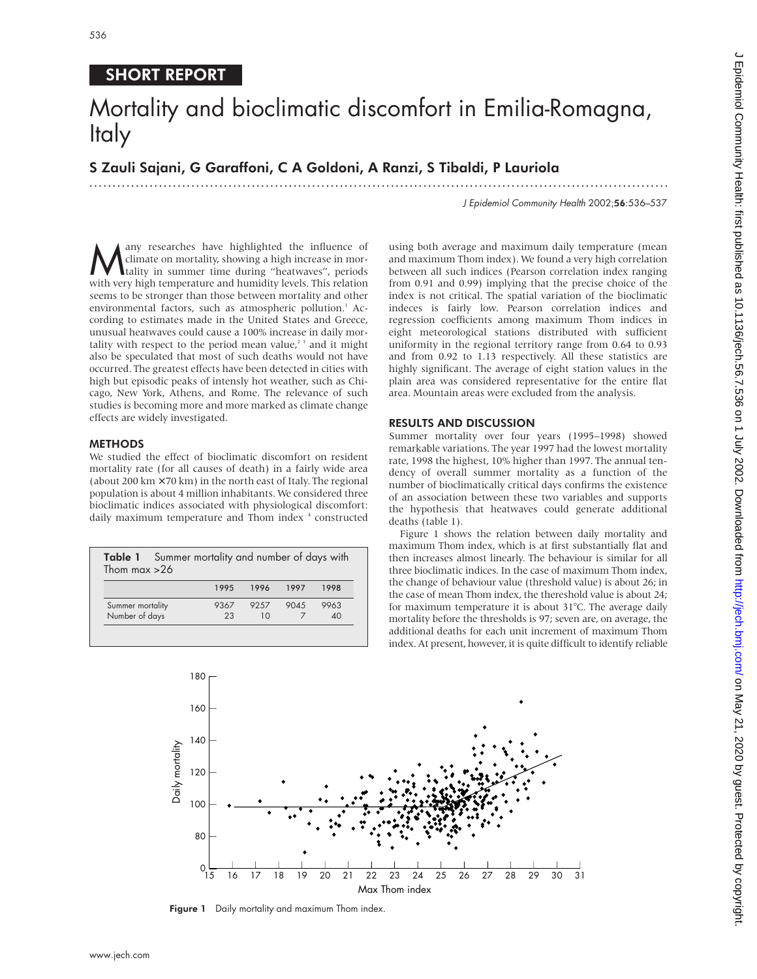# SHORT REPORT

# Mortality and bioclimatic discomfort in Emilia-Romagna, Italy

S Zauli Sajani, G Garaffoni, C A Goldoni, A Ranzi, S Tibaldi, P Lauriola

.............................................................................................................................

J Epidemiol Community Health 2002;56:536–537

**M** any researches have highlighted the influence of climate on mortality, showing a high increase in mortality in summer time during "heatwaves", periods with very bigh temperature and humidity levels. This relation climate on mortality, showing a high increase in morwith very high temperature and humidity levels. This relation seems to be stronger than those between mortality and other environmental factors, such as atmospheric pollution.<sup>1</sup> According to estimates made in the United States and Greece, unusual heatwaves could cause a 100% increase in daily mortality with respect to the period mean value,<sup> $2<sup>3</sup>$ </sup> and it might also be speculated that most of such deaths would not have occurred. The greatest effects have been detected in cities with high but episodic peaks of intensly hot weather, such as Chicago, New York, Athens, and Rome. The relevance of such studies is becoming more and more marked as climate change effects are widely investigated.

## METHODS

We studied the effect of bioclimatic discomfort on resident mortality rate (for all causes of death) in a fairly wide area (about 200 km  $\times$  70 km) in the north east of Italy. The regional population is about 4 million inhabitants. We considered three bioclimatic indices associated with physiological discomfort: daily maximum temperature and Thom index <sup>4</sup> constructed

| <b>Table 1</b> Summer mortality and number of days with<br>Thom max $>26$ |      |       |      |                       |
|---------------------------------------------------------------------------|------|-------|------|-----------------------|
|                                                                           | 1995 | 1996  | 1997 | 1998                  |
| Summer mortality                                                          | 9367 | 92.57 | 9045 | 9963                  |
| Number of days                                                            | 23   | 10    |      | $\Delta$ <sup>O</sup> |

using both average and maximum daily temperature (mean and maximum Thom index). We found a very high correlation between all such indices (Pearson correlation index ranging from 0.91 and 0.99) implying that the precise choice of the index is not critical. The spatial variation of the bioclimatic indeces is fairly low. Pearson correlation indices and regression coefficients among maximum Thom indices in eight meteorological stations distributed with sufficient uniformity in the regional territory range from 0.64 to 0.93 and from 0.92 to 1.13 respectively. All these statistics are highly significant. The average of eight station values in the plain area was considered representative for the entire flat area. Mountain areas were excluded from the analysis.

### RESULTS AND DISCUSSION

Summer mortality over four years (1995–1998) showed remarkable variations. The year 1997 had the lowest mortality rate, 1998 the highest, 10% higher than 1997. The annual tendency of overall summer mortality as a function of the number of bioclimatically critical days confirms the existence of an association between these two variables and supports the hypothesis that heatwaves could generate additional deaths (table 1).

Figure 1 shows the relation between daily mortality and maximum Thom index, which is at first substantially flat and then increases almost linearly. The behaviour is similar for all three bioclimatic indices. In the case of maximum Thom index, the change of behaviour value (threshold value) is about 26; in the case of mean Thom index, the thereshold value is about 24; for maximum temperature it is about 31°C. The average daily mortality before the thresholds is 97; seven are, on average, the additional deaths for each unit increment of maximum Thom index. At present, however, it is quite difficult to identify reliable



Figure 1 Daily mortality and maximum Thom index.